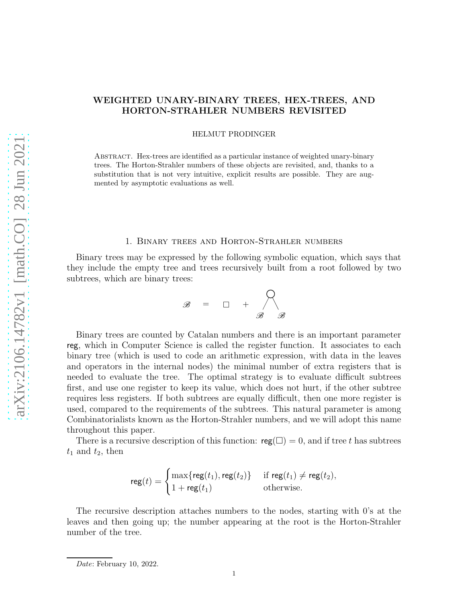# WEIGHTED UNARY-BINARY TREES, HEX-TREES, AND HORTON-STRAHLER NUMBERS REVISITED

HELMUT PRODINGER

Abstract. Hex-trees are identified as a particular instance of weighted unary-binary trees. The Horton-Strahler numbers of these objects are revisited, and, thanks to a substitution that is not very intuitive, explicit results are possible. They are augmented by asymptotic evaluations as well.

## 1. Binary trees and Horton-Strahler numbers

Binary trees may be expressed by the following symbolic equation, which says that they include the empty tree and trees recursively built from a root followed by two subtrees, which are binary trees:

$$
\mathscr{B} = \square + \bigwedge_{\mathscr{B}} \mathscr{B}
$$

Binary trees are counted by Catalan numbers and there is an important parameter reg, which in Computer Science is called the register function. It associates to each binary tree (which is used to code an arithmetic expression, with data in the leaves and operators in the internal nodes) the minimal number of extra registers that is needed to evaluate the tree. The optimal strategy is to evaluate difficult subtrees first, and use one register to keep its value, which does not hurt, if the other subtree requires less registers. If both subtrees are equally difficult, then one more register is used, compared to the requirements of the subtrees. This natural parameter is among Combinatorialists known as the Horton-Strahler numbers, and we will adopt this name throughout this paper.

There is a recursive description of this function:  $reg(\square) = 0$ , and if tree t has subtrees  $t_1$  and  $t_2$ , then

$$
\mathsf{reg}(t) = \begin{cases} \max\{\mathsf{reg}(t_1), \mathsf{reg}(t_2)\} & \text{if } \mathsf{reg}(t_1) \neq \mathsf{reg}(t_2), \\ 1 + \mathsf{reg}(t_1) & \text{otherwise.} \end{cases}
$$

The recursive description attaches numbers to the nodes, starting with 0's at the leaves and then going up; the number appearing at the root is the Horton-Strahler number of the tree.

*Date*: February 10, 2022.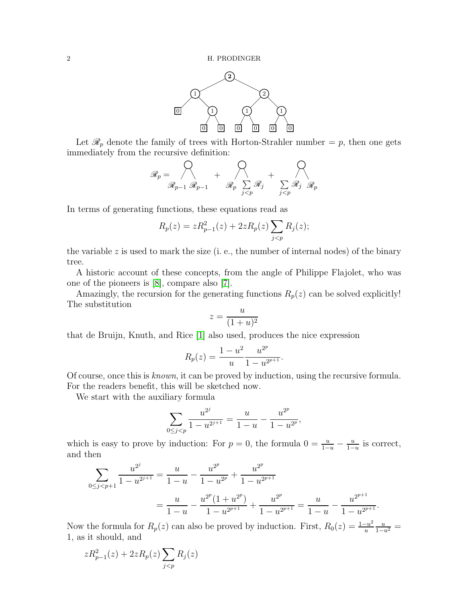

Let  $\mathcal{R}_p$  denote the family of trees with Horton-Strahler number = p, then one gets immediately from the recursive definition:

$$
\mathscr{R}_p = \bigotimes_{\mathscr{R}_{p-1}} \mathscr{R}_{p-1} + \bigotimes_{\mathscr{R}_p} \sum_{\substack{j \leq p}} \mathscr{R}_j + \bigotimes_{\substack{j \leq p}} \mathscr{R}_j \mathscr{R}_p
$$

In terms of generating functions, these equations read as

$$
R_p(z) = zR_{p-1}^2(z) + 2zR_p(z)\sum_{j < p} R_j(z);
$$

the variable z is used to mark the size (i. e., the number of internal nodes) of the binary tree.

A historic account of these concepts, from the angle of Philippe Flajolet, who was one of the pioneers is [\[8\]](#page-7-0), compare also [\[7\]](#page-7-1).

Amazingly, the recursion for the generating functions  $R_p(z)$  can be solved explicitly! The substitution

$$
z = \frac{u}{(1+u)^2}
$$

that de Bruijn, Knuth, and Rice [\[1\]](#page-7-2) also used, produces the nice expression

$$
R_p(z) = \frac{1 - u^2}{u} \frac{u^{2^p}}{1 - u^{2^{p+1}}}.
$$

Of course, once this is known, it can be proved by induction, using the recursive formula. For the readers benefit, this will be sketched now.

We start with the auxiliary formula

$$
\sum_{0 \le j < p} \frac{u^{2^j}}{1 - u^{2^{j+1}}} = \frac{u}{1 - u} - \frac{u^{2^p}}{1 - u^{2^p}},
$$

which is easy to prove by induction: For  $p = 0$ , the formula  $0 = \frac{u}{1-u} - \frac{u}{1-u}$  $\frac{u}{1-u}$  is correct, and then

$$
\sum_{0 \le j < p+1} \frac{u^{2^j}}{1 - u^{2^{j+1}}} = \frac{u}{1 - u} - \frac{u^{2^p}}{1 - u^{2^p}} + \frac{u^{2^p}}{1 - u^{2^{p+1}}}
$$
\n
$$
= \frac{u}{1 - u} - \frac{u^{2^p} (1 + u^{2^p})}{1 - u^{2^{p+1}}} + \frac{u^{2^p}}{1 - u^{2^{p+1}}} = \frac{u}{1 - u} - \frac{u^{2^{p+1}}}{1 - u^{2^{p+1}}}.
$$

Now the formula for  $R_p(z)$  can also be proved by induction. First,  $R_0(z) = \frac{1-u^2}{u}$ u  $\frac{u}{1-u^2} =$ 1, as it should, and

$$
zR_{p-1}^2(z) + 2zR_p(z)\sum_{j
$$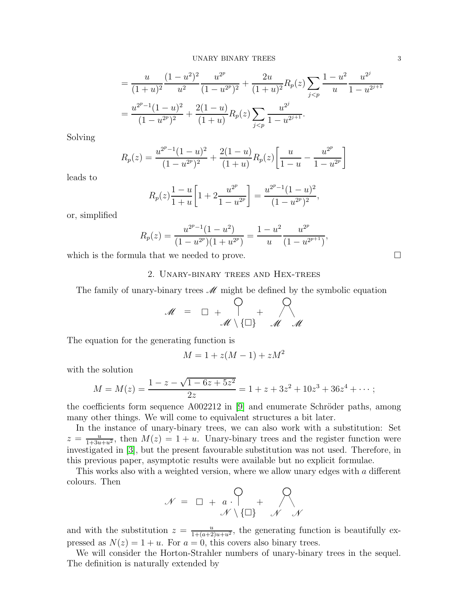$$
= \frac{u}{(1+u)^2} \frac{(1-u^2)^2}{u^2} \frac{u^{2^p}}{(1-u^{2^p})^2} + \frac{2u}{(1+u)^2} R_p(z) \sum_{j < p} \frac{1-u^2}{u} \frac{u^{2^j}}{1-u^{2^{j+1}}}
$$
\n
$$
= \frac{u^{2^p-1}(1-u)^2}{(1-u^{2^p})^2} + \frac{2(1-u)}{(1+u)} R_p(z) \sum_{j < p} \frac{u^{2^j}}{1-u^{2^{j+1}}}.
$$

Solving

$$
R_p(z) = \frac{u^{2^p - 1}(1 - u)^2}{(1 - u^{2^p})^2} + \frac{2(1 - u)}{(1 + u)} R_p(z) \left[ \frac{u}{1 - u} - \frac{u^{2^p}}{1 - u^{2^p}} \right]
$$

leads to

$$
R_p(z)\frac{1-u}{1+u}\left[1+2\frac{u^{2^p}}{1-u^{2^p}}\right] = \frac{u^{2^p-1}(1-u)^2}{(1-u^{2^p})^2},
$$

or, simplified

$$
R_p(z) = \frac{u^{2^p - 1}(1 - u^2)}{(1 - u^{2^p})(1 + u^{2^p})} = \frac{1 - u^2}{u} \frac{u^{2^p}}{(1 - u^{2^{p+1}})}
$$

,

which is the formula that we needed to prove.  $\Box$ 

# 2. Unary-binary trees and Hex-trees

The family of unary-binary trees  $\mathscr M$  might be defined by the symbolic equation

$$
\mathcal{M} = \Box + \bigcap_{\mathcal{M} \setminus \{\Box\}} + \bigcap_{\mathcal{M} \setminus \mathcal{M}}
$$

The equation for the generating function is

$$
M = 1 + z(M - 1) + zM^2
$$

with the solution

$$
M = M(z) = \frac{1 - z - \sqrt{1 - 6z + 5z^2}}{2z} = 1 + z + 3z^2 + 10z^3 + 36z^4 + \cdots;
$$

the coefficients form sequence  $A002212$  in [\[9\]](#page-7-3) and enumerate Schröder paths, among many other things. We will come to equivalent structures a bit later.

In the instance of unary-binary trees, we can also work with a substitution: Set  $z = \frac{u}{1+3u+u^2}$ , then  $M(z) = 1 + u$ . Unary-binary trees and the register function were investigated in [\[3\]](#page-7-4), but the present favourable substitution was not used. Therefore, in this previous paper, asymptotic results were available but no explicit formulae.

This works also with a weighted version, where we allow unary edges with a different colours. Then

$$
\mathcal{N} = \Box + a \cdot \begin{bmatrix} 0 \\ + \end{bmatrix} + \begin{bmatrix} 0 \\ -\mathcal{N} \end{bmatrix}
$$

and with the substitution  $z = \frac{u}{1+(a+2)u+u^2}$ , the generating function is beautifully expressed as  $N(z) = 1 + u$ . For  $a = 0$ , this covers also binary trees.

We will consider the Horton-Strahler numbers of unary-binary trees in the sequel. The definition is naturally extended by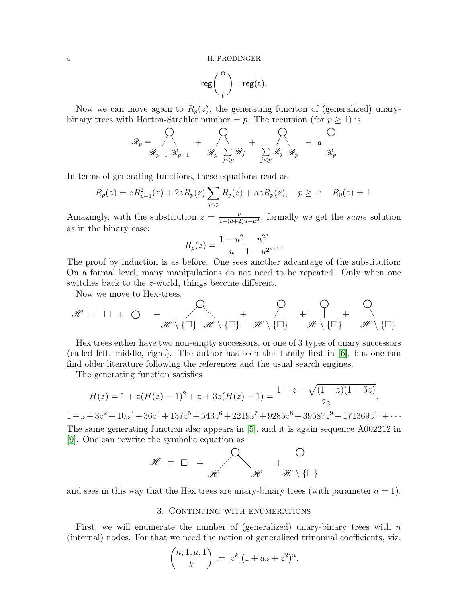$$
\mathsf{reg}\bigg(\bigg\{{0\atop t}\bigg)=\mathsf{reg}(t).
$$

Now we can move again to  $R_p(z)$ , the generating funciton of (generalized) unarybinary trees with Horton-Strahler number =  $p$ . The recursion (for  $p \ge 1$ ) is

$$
\mathcal{R}_p = \bigotimes_{\mathcal{R}_{p-1}} \bigotimes_{\mathcal{R}_{p-1}} + \bigotimes_{\mathcal{R}_p} \sum_{\substack{j < p \\ j < p}} \mathcal{R}_j + \bigotimes_{\substack{j < p \\ j < p}} + \mathcal{R}_p
$$

In terms of generating functions, these equations read as

$$
R_p(z) = zR_{p-1}^2(z) + 2zR_p(z)\sum_{j < p} R_j(z) + azR_p(z), \quad p \ge 1; \quad R_0(z) = 1.
$$

Amazingly, with the substitution  $z = \frac{u}{1 + (a+2)u + u^2}$ , formally we get the same solution as in the binary case:

$$
R_p(z) = \frac{1 - u^2}{u} \frac{u^{2^p}}{1 - u^{2^{p+1}}}.
$$

The proof by induction is as before. One sees another advantage of the substitution: On a formal level, many manipulations do not need to be repeated. Only when one switches back to the z-world, things become different.

Now we move to Hex-trees.

$$
\mathscr{H} = \Box + \bigcirc + \bigotimes_{\mathscr{H} \setminus \{\Box\}} \biguplus_{\mathscr{H} \setminus \{\Box\}} + \bigotimes_{\mathscr{H} \setminus \{\Box\}} + \bigotimes_{\mathscr{H} \setminus \{\Box\}} + \bigotimes_{\mathscr{H} \setminus \{\Box\}} + \bigotimes_{\mathscr{H} \setminus \{\Box\}}
$$

Hex trees either have two non-empty successors, or one of 3 types of unary successors (called left, middle, right). The author has seen this family first in [\[6\]](#page-7-5), but one can find older literature following the references and the usual search engines.

The generating function satisfies

$$
H(z) = 1 + z(H(z) - 1)^{2} + z + 3z(H(z) - 1) = \frac{1 - z - \sqrt{(1 - z)(1 - 5z)}}{2z}.
$$

 $1 + z + 3z^2 + 10z^3 + 36z^4 + 137z^5 + 543z^6 + 2219z^7 + 9285z^8 + 39587z^9 + 171369z^{10} + \cdots$ The same generating function also appears in [\[5\]](#page-7-6), and it is again sequence A002212 in [\[9\]](#page-7-3). One can rewrite the symbolic equation as

$$
\mathscr{H} \; = \; \Box \; \; + \; \begin{matrix} \displaystyle \bigcirc \\ \displaystyle \mathscr{H} \end{matrix} \qquad \quad + \; \begin{matrix} \displaystyle \bigcirc \\ \displaystyle \mathscr{H} \end{matrix} \quad \quad + \; \begin{matrix} \displaystyle \bigcirc \\ \displaystyle \mathscr{H} \end{matrix} \; \begin{matrix} \displaystyle \bigcirc \\ \displaystyle \mathscr{H} \end{matrix}
$$

and sees in this way that the Hex trees are unary-binary trees (with parameter  $a = 1$ ).

## 3. CONTINUING WITH ENUMERATIONS

First, we will enumerate the number of (generalized) unary-binary trees with  $n$ (internal) nodes. For that we need the notion of generalized trinomial coefficients, viz.

$$
\binom{n; 1, a, 1}{k} := [z^k](1 + az + z^2)^n.
$$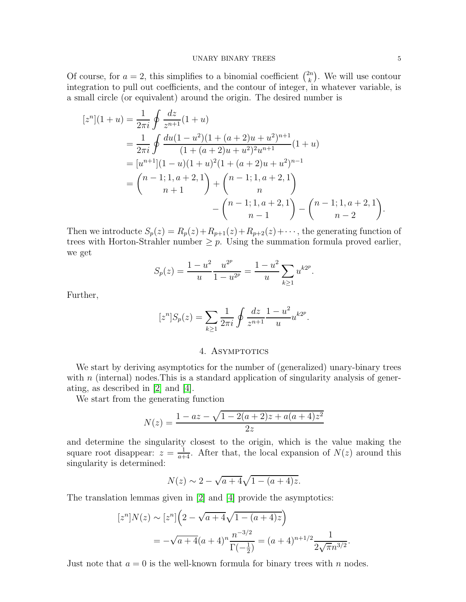Of course, for  $a = 2$ , this simplifies to a binomial coefficient  $\binom{2n}{k}$  $\binom{2n}{k}$ . We will use contour integration to pull out coefficients, and the contour of integer, in whatever variable, is a small circle (or equivalent) around the origin. The desired number is

$$
[zn](1+u) = \frac{1}{2\pi i} \oint \frac{dz}{z^{n+1}} (1+u)
$$
  
=  $\frac{1}{2\pi i} \oint \frac{du(1-u^2)(1+(a+2)u+u^2)^{n+1}}{(1+(a+2)u+u^2)^2u^{n+1}} (1+u)$   
=  $[u^{n+1}](1-u)(1+u)^2(1+(a+2)u+u^2)^{n-1}$   
=  $\binom{n-1;1,a+2,1}{n+1} + \binom{n-1;1,a+2,1}{n} - \binom{n-1;1,a+2,1}{n-2} - \binom{n-1;1,a+2,1}{n-2}.$ 

Then we introducte  $S_p(z) = R_p(z) + R_{p+1}(z) + R_{p+2}(z) + \cdots$ , the generating function of trees with Horton-Strahler number  $\geq p$ . Using the summation formula proved earlier, we get

$$
S_p(z) = \frac{1 - u^2}{u} \frac{u^{2^p}}{1 - u^{2^p}} = \frac{1 - u^2}{u} \sum_{k \ge 1} u^{k2^p}.
$$

Further,

$$
[z^{n}]S_{p}(z) = \sum_{k \geq 1} \frac{1}{2\pi i} \oint \frac{dz}{z^{n+1}} \frac{1 - u^{2}}{u} u^{k2^{p}}.
$$

## 4. ASYMPTOTICS

We start by deriving asymptotics for the number of (generalized) unary-binary trees with  $n$  (internal) nodes. This is a standard application of singularity analysis of generating, as described in [\[2\]](#page-7-7) and [\[4\]](#page-7-8).

We start from the generating function

$$
N(z) = \frac{1 - az - \sqrt{1 - 2(a + 2)z + a(a + 4)z^2}}{2z}
$$

and determine the singularity closest to the origin, which is the value making the square root disappear:  $z = \frac{1}{a+4}$ . After that, the local expansion of  $N(z)$  around this singularity is determined:

$$
N(z) \sim 2 - \sqrt{a+4}\sqrt{1-(a+4)z}.
$$

The translation lemmas given in [\[2\]](#page-7-7) and [\[4\]](#page-7-8) provide the asymptotics:

$$
[zn]N(z) \sim [zn]\left(2 - \sqrt{a+4}\sqrt{1-(a+4)z}\right)
$$
  
=  $-\sqrt{a+4}(a+4)^n \frac{n^{-3/2}}{\Gamma(-\frac{1}{2})} = (a+4)^{n+1/2} \frac{1}{2\sqrt{\pi}n^{3/2}}.$ 

Just note that  $a = 0$  is the well-known formula for binary trees with n nodes.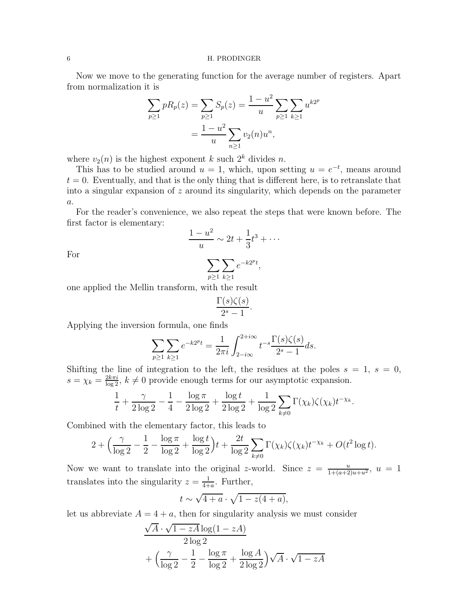#### 6 H. PRODINGER

Now we move to the generating function for the average number of registers. Apart from normalization it is

$$
\sum_{p\geq 1} pR_p(z) = \sum_{p\geq 1} S_p(z) = \frac{1 - u^2}{u} \sum_{p\geq 1} \sum_{k\geq 1} u^{k2^p}
$$

$$
= \frac{1 - u^2}{u} \sum_{n\geq 1} v_2(n)u^n,
$$

where  $v_2(n)$  is the highest exponent k such  $2^k$  divides n.

This has to be studied around  $u = 1$ , which, upon setting  $u = e^{-t}$ , means around  $t = 0$ . Eventually, and that is the only thing that is different here, is to retranslate that into a singular expansion of  $z$  around its singularity, which depends on the parameter  $a$ .

For the reader's convenience, we also repeat the steps that were known before. The first factor is elementary:

$$
\frac{1-u^2}{u} \sim 2t + \frac{1}{3}t^3 + \cdots
$$

For

$$
\sum_{p\geq 1}\sum_{k\geq 1}e^{-k2^pt},
$$

one applied the Mellin transform, with the result

$$
\frac{\Gamma(s)\zeta(s)}{2^s-1}.
$$

Applying the inversion formula, one finds

$$
\sum_{p\geq 1} \sum_{k\geq 1} e^{-k2^{p}t} = \frac{1}{2\pi i} \int_{2-i\infty}^{2+i\infty} t^{-s} \frac{\Gamma(s)\zeta(s)}{2^{s} - 1} ds.
$$

Shifting the line of integration to the left, the residues at the poles  $s = 1, s = 0$ ,  $s = \chi_k = \frac{2k\pi i}{\log 2}$ ,  $k \neq 0$  provide enough terms for our asymptotic expansion.

$$
\frac{1}{t} + \frac{\gamma}{2 \log 2} - \frac{1}{4} - \frac{\log \pi}{2 \log 2} + \frac{\log t}{2 \log 2} + \frac{1}{\log 2} \sum_{k \neq 0} \Gamma(\chi_k) \zeta(\chi_k) t^{-\chi_k}.
$$

Combined with the elementary factor, this leads to

$$
2 + \left(\frac{\gamma}{\log 2} - \frac{1}{2} - \frac{\log \pi}{\log 2} + \frac{\log t}{\log 2}\right)t + \frac{2t}{\log 2} \sum_{k \neq 0} \Gamma(\chi_k) \zeta(\chi_k) t^{-\chi_k} + O(t^2 \log t).
$$

Now we want to translate into the original z-world. Since  $z = \frac{u}{1+(a+2)u+u^2}$ ,  $u = 1$ translates into the singularity  $z = \frac{1}{4+1}$  $\frac{1}{4+a}$ . Further,

$$
t \sim \sqrt{4+a} \cdot \sqrt{1-z(4+a)},
$$

let us abbreviate  $A = 4 + a$ , then for singularity analysis we must consider

$$
\frac{\sqrt{A} \cdot \sqrt{1 - zA} \log(1 - zA)}{2 \log 2}
$$

$$
+ \left(\frac{\gamma}{\log 2} - \frac{1}{2} - \frac{\log \pi}{\log 2} + \frac{\log A}{2 \log 2}\right) \sqrt{A} \cdot \sqrt{1 - zA}
$$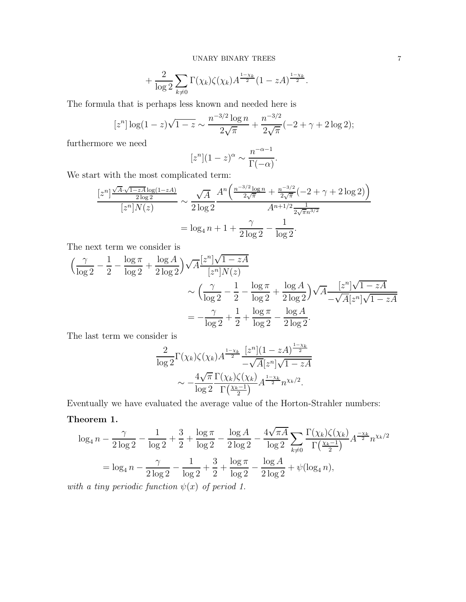$$
+\frac{2}{\log 2}\sum_{k\neq 0}\Gamma(\chi_k)\zeta(\chi_k)A^{\frac{1-\chi_k}{2}}(1-zA)^{\frac{1-\chi_k}{2}}.
$$

The formula that is perhaps less known and needed here is

$$
[z^n] \log(1-z)\sqrt{1-z} \sim \frac{n^{-3/2} \log n}{2\sqrt{\pi}} + \frac{n^{-3/2}}{2\sqrt{\pi}}(-2+\gamma+2\log 2);
$$

furthermore we need

$$
[z^n](1-z)^{\alpha} \sim \frac{n^{-\alpha-1}}{\Gamma(-\alpha)}.
$$

We start with the most complicated term:

$$
\frac{[z^n] \frac{\sqrt{A} \cdot \sqrt{1 - zA} \log(1 - zA)}{2 \log 2}}{[z^n] N(z)} \sim \frac{\sqrt{A}}{2 \log 2} \frac{A^n \left(\frac{n^{-3/2} \log n}{2\sqrt{\pi}} + \frac{n^{-3/2}}{2\sqrt{\pi}} (-2 + \gamma + 2 \log 2)\right)}{A^{n+1/2} \frac{1}{2\sqrt{\pi} n^{3/2}}}
$$

$$
= \log_4 n + 1 + \frac{\gamma}{2 \log 2} - \frac{1}{\log 2}.
$$

The next term we consider is

$$
\left(\frac{\gamma}{\log 2} - \frac{1}{2} - \frac{\log \pi}{\log 2} + \frac{\log A}{2 \log 2}\right) \sqrt{A} \frac{[z^n] \sqrt{1 - zA}}{[z^n] N(z)} \n\sim \left(\frac{\gamma}{\log 2} - \frac{1}{2} - \frac{\log \pi}{\log 2} + \frac{\log A}{2 \log 2}\right) \sqrt{A} \frac{[z^n] \sqrt{1 - zA}}{-\sqrt{A} [z^n] \sqrt{1 - zA}} \n= -\frac{\gamma}{\log 2} + \frac{1}{2} + \frac{\log \pi}{\log 2} - \frac{\log A}{2 \log 2}.
$$

The last term we consider is

$$
\frac{2}{\log 2} \Gamma(\chi_k) \zeta(\chi_k) A^{\frac{1-\chi_k}{2}} \frac{[z^n](1 - zA)^{\frac{1-\chi_k}{2}}}{-\sqrt{A}[z^n] \sqrt{1 - zA}}
$$

$$
\sim -\frac{4\sqrt{\pi}}{\log 2} \frac{\Gamma(\chi_k) \zeta(\chi_k)}{\Gamma(\frac{\chi_k - 1}{2})} A^{\frac{1-\chi_k}{2}} n^{\chi_k/2}.
$$

Eventually we have evaluated the average value of the Horton-Strahler numbers:

# Theorem 1.

$$
\log_4 n - \frac{\gamma}{2 \log 2} - \frac{1}{\log 2} + \frac{3}{2} + \frac{\log \pi}{\log 2} - \frac{\log A}{2 \log 2} - \frac{4 \sqrt{\pi A}}{\log 2} \sum_{k \neq 0} \frac{\Gamma(\chi_k) \zeta(\chi_k)}{\Gamma(\frac{\chi_k - 1}{2})} A^{\frac{-\chi_k}{2}} n^{\chi_k/2}
$$

$$
= \log_4 n - \frac{\gamma}{2 \log 2} - \frac{1}{\log 2} + \frac{3}{2} + \frac{\log \pi}{\log 2} - \frac{\log A}{2 \log 2} + \psi(\log_4 n),
$$

with a tiny periodic function  $\psi(x)$  of period 1.